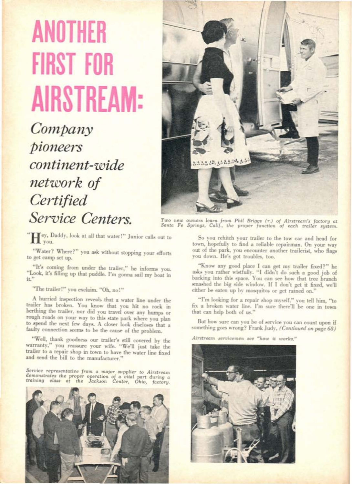## **ANOTHER FIRST FOR AIRSTREAM:**

Company pioneers continent-wide network of Certified Service Centers

"Hey, Daddy, look at all that water!" Junior calls out to

"Water? Where?" you ask without stopping your efforts to get camp set up.

"It's coming from under the trailer," he informs you. "Look, it's filling up that puddle. I'm gonna sail my boat in  $it$ <sup>21</sup>

"The trailer!" you exclaim. "Oh, no!"

A hurried inspection reveals that a water line under the trailer has broken. You know that you hit no rock in<br>berthing the trailer, nor did you travel over any humps or rough roads on your way to this state park where you plan to spend the next few days. A closer look discloses that a faulty connection seems to be the cause of the problem.

"Well, thank goodness our trailer's still covered by the warranty," you reassure your wife. "We'll just take the trailer to a repair shop in town to have the water line fixed and send the bill to the manufacturer.

 $\begin{tabular}{llllll} Service representative from a major supplier to Airstream \\ demonstrates the proper operation of a vital part during a training class at the Jackson Center, Ohio, factory. \end{tabular}$ 





Two new owners learn from Phil Briggs (r.) of Airstream's factory at<br>Santa Fe Springs, Calif., the proper function of each trailer system.

So you rehitch your trailer to the tow car and head for town, hopefully to find a reliable repairman. On your way out of the park, you encounter another trailerist, who flags you down. He's got troubles, too.

"Know any good place I can get my trailer fixed?" he asks you rather wistfully. "I didn't do such a good job of backing into this space. You can see how that tree branch smashed the big side window. If I don't get it fixed, we'll either be eaten up by mosquitos or get rained on."

"I'm looking for a repair shop myself," you tell him, "to fix a broken water line. I'm sure there'll be one in town that can help both of us."

But how sure can you be of service you can count upon if something goes wrong? Frank Judy, (Continued on page 68)

Airstream servicemen see "how it works."

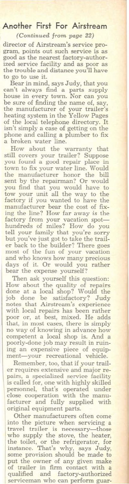## Another First For Airstream

*(Continued* from *page 22)*

director of Airstream's service pro-<br>gram, points out such service is as gram, points out such service is as good as the nearest factory-author-ized service facility and as poor as the trouble and distance you'll have<br>to go to use it.

Bear in mind, says Judy, that you<br>can't always find a parts supply<br>house in every town. Nor can you<br>be sure of finding the name of, say,<br>the manufacturer of your trailer's<br>heating system in the Yellow Pages of the local telephone directory. It isn't simply a case of getting on the phone and calling <sup>a</sup> plumber to fix <sup>a</sup> broken water line.

How about the warranty that still covers your trailer? Suppose you found a good repair place in town to fix your water line. Would the manufacturer honor the bill<br>sent by the repairman? Or would sent by the repairman? Or would have to<br>you find that you would have to<br>tow your unit all the way to the<br>factory if you wanted to have the<br>manufacturer bear the cost of fix-<br>ing the line? How far away is the<br>factory from y

Then ask yourself this question: How about the quality of repairs done at a local shop? Would the job done be satisfactory? Judy notes that Airstream's experience with local repairs has been rather poor or, at best, mixed. He adds that, in most cases, there is simply no way of knowing in advance how competent a local shop is. And a poorly-done job may result in ruining an expensive piece of equipment-your recreational vehicle.

Remember, too, that if your trail-<br>er requires extensive and major re-<br>pairs, a specialized service facility is called for, one with highly skilled personnel. that's operated under close cooperation with the manu· facturer and fully supplied with original equipment parts.

Other manufacturers often come into the picture when servicing <sup>a</sup> travel trailer is necessary-those who supply the stove, the heater, the toilet, or the refrigerator, for instance. That's why, says Judy, some provision should be made to put the owner of any given make of trailer in firm contact with <sup>a</sup> qualified and factory·authorized serviceman who can perform guar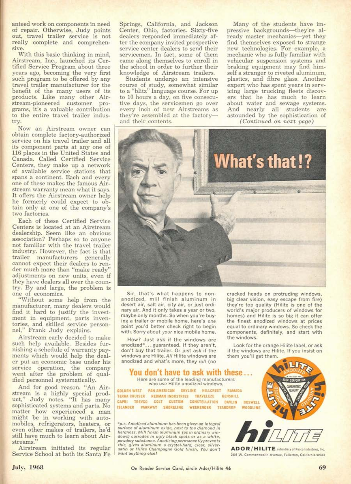anteed work on components in need<br>of repair. Otherwise, Judy points<br>out, travel trailer service is not really complete and comprehen-

With this basic thinking in mind, Airstream, Inc., launched its Cer-<br>tified Service Program about three years ago, becoming the very first<br>such program to be offered by any<br>travel trailer manufacturer for the benefit of the many users of its products. Like many other Airstream-pioneered customer programs, it's a valuable contribution to the entire travel trailer indus-

Now an Airstream owner can obtain complete factory-authorized its component parts at any one of 116 places in the United States and<br>Canada. Called Certified Service Centers, they make up a network of available service stations that<br>spans a continent. Each and every one of these makes the famous Air-<br>stream warranty mean what it says. It offers the Airstream owner help<br>he formerly could expect to obtain only at one of the company's two factories.<br>Each of these Certified Service

Centers is located at an Airstream<br>dealership. Seem like an obvious association? Perhaps so to anyone<br>not familiar with the travel trailer industry. However, the fact is that<br>trailer manufacturers generally cannot expect their dealers to render much more than "make ready"<br>adjustments on new units, even if they have dealers all over the coun-<br>try. By and large, the problem is<br>one of economics.<br>"Without some help from the

manufacturer, many dealers would<br>find it hard to justify the investment in equipment, parts inventories, and skilled service personnel," Frank Judy explains.

Airstream early decided to make<br>such help available. Besides furnishing a schedule of warranty payments which would help the deal-<br>er put an economic base under his service operation, the company<br>went after the problem of qualified personnel systematically.

And for good reason. "An Air-<br>stream is a highly special prod-<br>uct," Judy notes. "It has many sophisticated systems and parts. No<br>matter how experienced a man<br>might be in working with automobiles, refrigerators, heaters, or even other makes of trailers, he'd still have much to learn about Airstreams."<br>Airstream initiated its regular

Service School at both its Santa Fe

Springs, California, and Jackson Cenler, Ohio, factories. Sixty-five dealers responded immediately af-<br>ter the company invited prospective service center dealers to send their<br>servicemen. In fact, some of them came along themselves to enroll in<br>the school in order to further their knowledge of Airstream trailers.

Students undergo an intensive course of study, somewhat similar to a "blitz" language course. For up to 10 hours a day, on five consecutive days, the servicemen go over<br>every inch of new Airstreams as every inch of new Airstreams as<br>they're assembled at the factory—<br>and their contents.

Many of the students have impressive backgrounds-they're already master mechanics-yet they<br>find themselves exposed to strange new technologies. For example, a mechanic who is fully familiar with<br>vehicular suspension systems and braking equipment may find him-<br>self a stranger to riveted aluminum, plastics, and fibre glass. Another<br>expert who has spent years in servicing large trucking fleets discovers that he has much to learn ers that he has much to learn<br>about water and sewage systems.<br>And nearly all students are astounded by the sophistication of (Continued *Qn* next *page)*



Sir, that's what happens to nonanodized, mill finish aluminum in desert air, salt air, city air, or just ordinary air. And it only takes a year or two, maybe only months. So when you're buying a trailer or mobile home, here's one point you'd better check right to begin with. Sorry about your nice mobile home.

How? Just ask if the windows are anodized<sup>®</sup>...guaranteed. If they aren't, don't buy that trailer. Or just ask if the windows are Hilite. All Hilite windows are anodized and what's more, they roll (no

cracked heads on protruding windows. big clear vision, easy escape from fire) they're top quality (Hillte is one of the world's major producers of windows for homes) and Hilite is so big it can offer the finest anodized windows at prices equal to ordinary windows, So check the components, definitely, and start with the windows.

Look for the orange Hillte label, or ask<br>if the windows are Hillte. If you insist on them you'll get them

## You don't have to ask with these Here are some of the leading manufacturers<br>who use Hilite anodized windows. GOLDEN WEST PAN AMERICAN SKYLINE HILLCREST RAMADA TERRA CRUISER REDMAN INDUSTRIES TRAVELEZE KENSKILL CAPRI TREVCO COLT CUSTOM CONSTELLATION DAVLIN BOSWELL<br>ISLANDER PARKWAY SHORELINE WEEKENDER TEADDROP WOODLINE **ISLANDER PARKWAY SHORELINE WEEKENDER TEARDROP TERR CRUSER REDARN INOUSTRIES TRAVELEE RENSKILL BOWELL FRAME CRUSHER PRODUCT CONSTRUCTS. THE SAME PRODUCT CRUSHER PRODUCTS AND THE SAME PRODUCTS TO A CONSTRUCT THE SAME PRODUCTS TO A CONSTRUCT THE SAME PRODUCTS CONSTRUCT**

surface of aluminum oxide, next to the diamond in  $*_{p.s.}$  Anodized aluminum has been given an integral hardness. Mill finish aluminum (as in ordinary win-<br>dows) corrodes in ugly black spots or as a white,<br>powdery substance. Anodizing permanently prevents ill finis *!h'..* • ' ... *• Ium",um* • *"y"OI·hO'''.* <"".•".0'\_ *""n orH"".C...",...... G<Mt"',....* •..- ...... ', ADOR!HILITE\_,.. \_ , .... " , "'0"•••''''1 '""'w.c\_.\_ \_c ...,.



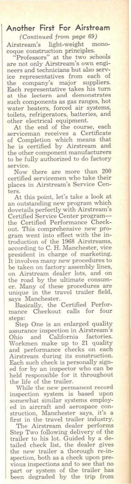## Another First For Airstream

(Continued from page *69)* Airstream's light-weight

coque construction principles. Professors" at the two schools

are not only Airstream's own engi-<br>neers and technicians but also servneers and technicians but also serv-<br>ice representatives from each of<br>the company's major suppliers. Each representative takes his turn at the lectern and demonstrates such components as gas ranges, hot water heaters, forced air systems, toilets, refrigerators, batteries, and

other electrical equipment. At the end of the course, each serviceman receives a Certificate of Completion which means that he is certified by Airstream and the other component manufacturers to be fully authorized to do factory

service. Now there are more than 200 certified servicemen who take their places in Airstream's Service Cen-

ters. At this point, let's take <sup>a</sup> look at an outstanding new program which dovetails perfectly with Airstream's Certified Service Center programthe Certified Performance Check-<br>out. This comprehensive new program went into effect with the in-troduction of the 1968 Airstreams, according to C. H. Manchester, vice president in charge of marketing. It involves many new procedures to<br>be taken on factory assembly lines,<br>on Airstream dealer lots, and on<br>the road by the ultimate consum-<br>er. Many of these procedures are<br>unique in the travel trailer field,

says Manchester. BasicaUy, the Certified Perfor- mance Checkout caUs for four

steps:<br>Step One is an enlarged quality Step One is an enlarged quality assurance inspection in Airstream's Ohio and California factories. Workmen make up to 21 quality and performance checks on each Airstream during its construction. Each such check is personally signed for by an inspector who can be held responsible for it throughout the life of the trailer.

While the new pennanent record inspection system is based upon somewhat similar systems employed in aircraft and aerospace con-<br>struction, Manchester says, it's a struction. Manchester says, it's <sup>a</sup> first in the travel trailer industry. The Airstream dealer performs

Step Two following delivery of the<br>trailer to his lot. Guided by a de-<br>tailed check list, the dealer gives<br>the new trailer a thorough re-in-<br>spection, both as a check upon previous inspections and to see that no part or system of the trailer has been degraded by the trip from